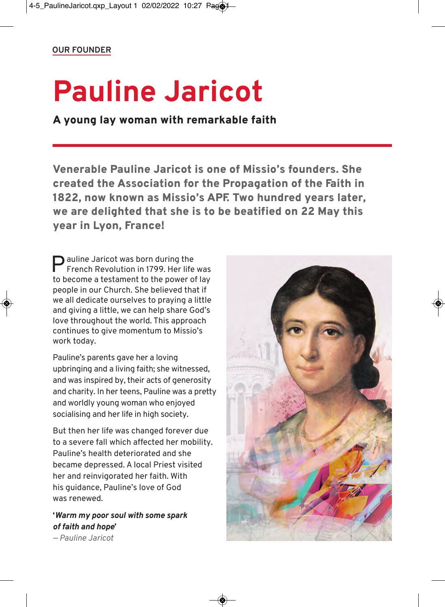## **Pauline Jaricot**

A young lay woman with remarkable faith

Venerable Pauline Jaricot is one of Missio's founders. She created the Association for the Propagation of the Faith in 1822, now known as Missio's APF. Two hundred years later, we are delighted that she is to be beatified on 22 May this year in Lyon, France!

**P** auline Jaricot was born during the<br>French Revolution in 1799. Her life French Revolution in 1799. Her life was to become a testament to the power of lay people in our Church. She believed that if we all dedicate ourselves to praying a little and giving a little, we can help share God's love throughout the world. This approach continues to give momentum to Missio's work today.

Pauline's parents gave her a loving upbringing and a living faith; she witnessed, and was inspired by, their acts of generosity and charity. In her teens, Pauline was a pretty and worldly young woman who enjoyed socialising and her life in high society.

But then her life was changed forever due to a severe fall which affected her mobility. Pauline's health deteriorated and she became depressed. A local Priest visited her and reinvigorated her faith. With his guidance, Pauline's love of God was renewed.

**'***Warm my poor soul with some spark of faith and hope***'** *— Pauline Jaricot*